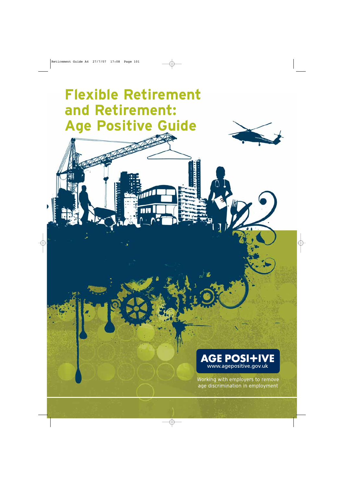# **Flexible Retirement and Retirement: Age Positive Guide**

пľ





Working with employers to remove age discrimination in employment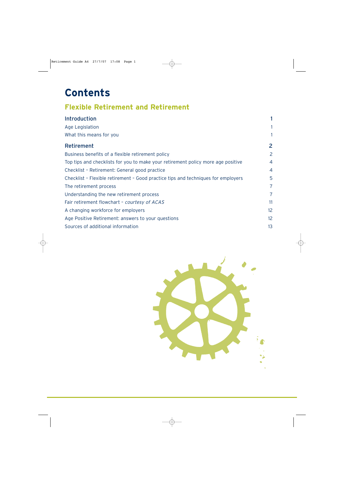# **Contents**

# **Flexible Retirement and Retirement**

| <b>Introduction</b>                                                               |                |
|-----------------------------------------------------------------------------------|----------------|
| Age Legislation                                                                   |                |
| What this means for you                                                           |                |
| <b>Retirement</b>                                                                 | $\overline{2}$ |
| Business benefits of a flexible retirement policy                                 | 2              |
| Top tips and checklists for you to make your retirement policy more age positive  | $\overline{4}$ |
| Checklist - Retirement: General good practice                                     | $\overline{4}$ |
| Checklist - Flexible retirement - Good practice tips and techniques for employers | 5              |
| The retirement process                                                            | $\overline{7}$ |
| Understanding the new retirement process                                          | 7              |
| Fair retirement flowchart - courtesy of ACAS                                      | 11             |
| A changing workforce for employers                                                | 12             |
| Age Positive Retirement: answers to your questions                                | 12             |
| Sources of additional information                                                 | 13             |

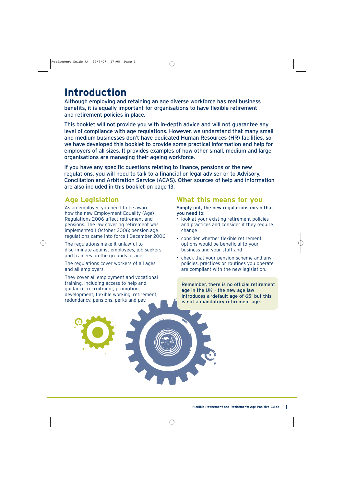# **Introduction**

Although employing and retaining an age diverse workforce has real business benefits, it is equally important for organisations to have flexible retirement and retirement policies in place.

This booklet will not provide you with in-depth advice and will not guarantee any level of compliance with age regulations. However, we understand that many small and medium businesses don't have dedicated Human Resources (HR) facilities, so we have developed this booklet to provide some practical information and help for employers of all sizes. It provides examples of how other small, medium and large organisations are managing their ageing workforce.

If you have any specific questions relating to finance, pensions or the new regulations, you will need to talk to a financial or legal adviser or to Advisory, Conciliation and Arbitration Service (ACAS). Other sources of help and information are also included in this booklet on page 13.

# **Age Legislation**

As an employer, you need to be aware how the new Employment Equality (Age) Regulations 2006 affect retirement and pensions. The law covering retirement was implemented 1 October 2006; pension age regulations came into force 1 December 2006.

The regulations make it unlawful to discriminate against employees, job seekers and trainees on the grounds of age.

The regulations cover workers of all ages and all employers.

They cover all employment and vocational training, including access to help and guidance, recruitment, promotion, development, flexible working, retirement, redundancy, pensions, perks and pay.

# **What this means for you**

Simply put, the new regulations mean that you need to:

- look at your existing retirement policies and practices and consider if they require change
- consider whether flexible retirement options would be beneficial to your business and your staff and
- check that your pension scheme and any policies, practices or routines you operate are compliant with the new legislation.

Remember, there is no official retirement age in the UK – the new age law introduces a 'default age of 65' but this is not a mandatory retirement age.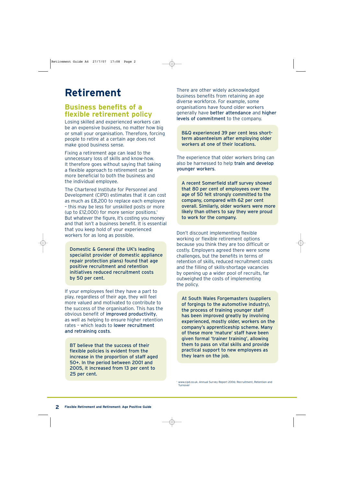# **Retirement**

# **Business benefits of a flexible retirement policy**

Losing skilled and experienced workers can be an expensive business, no matter how big or small your organisation. Therefore, forcing people to retire at a certain age does not make good business sense.

Fixing a retirement age can lead to the unnecessary loss of skills and know-how. It therefore goes without saying that taking a flexible approach to retirement can be more beneficial to both the business and the individual employee.

The Chartered Institute for Personnel and Development (CIPD) estimates that it can cost as much as £8,200 to replace each employee – this may be less for unskilled posts or more (up to £12,000) for more senior positions.<sup>1</sup> But whatever the figure, it's costing you money and that isn't a business benefit. It is essential that you keep hold of your experienced workers for as long as possible.

Domestic & General (the UK's leading specialist provider of domestic appliance repair protection plans) found that age positive recruitment and retention initiatives reduced recruitment costs by 50 per cent.

If your employees feel they have a part to play, regardless of their age, they will feel more valued and motivated to contribute to the success of the organisation. This has the obvious benefit of improved productivity, as well as helping to ensure higher retention rates – which leads to lower recruitment and retraining costs.

BT believe that the success of their flexible policies is evident from the increase in the proportion of staff aged 50+. In the period between 2001 and 2005, it increased from 13 per cent to 25 per cent.

There are other widely acknowledged business benefits from retaining an age diverse workforce. For example, some organisations have found older workers generally have better attendance and higher levels of commitment to the company.

B&Q experienced 39 per cent less shortterm absenteeism after employing older workers at one of their locations.

The experience that older workers bring can also be harnessed to help train and develop younger workers.

A recent Somerfield staff survey showed that 80 per cent of employees over the age of 50 felt strongly committed to the company, compared with 62 per cent overall. Similarly, older workers were more likely than others to say they were proud to work for the company.

Don't discount implementing flexible working or flexible retirement options because you think they are too difficult or costly. Employers agreed there were some challenges, but the benefits in terms of retention of skills, reduced recruitment costs and the filling of skills-shortage vacancies by opening up a wider pool of recruits, far outweighed the costs of implementing the policy.

At South Wales Forgemasters (suppliers of forgings to the automotive industry), the process of training younger staff has been improved greatly by involving experienced, mostly older, workers on the company's apprenticeship scheme. Many of these more 'mature' staff have been given formal 'trainer training', allowing them to pass on vital skills and provide practical support to new employees as they learn on the job.

<sup>1</sup> www.cipd.co.uk. Annual Survey Report 2006: Recruitment, Retention and Turnover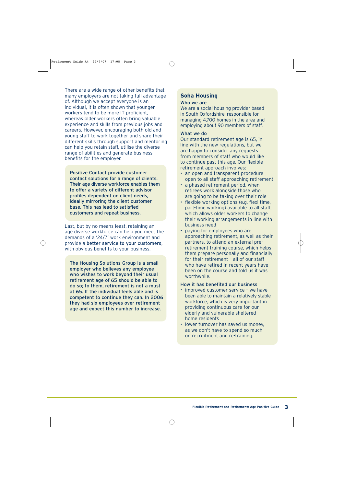There are a wide range of other benefits that many employers are not taking full advantage of. Although we accept everyone is an individual, it is often shown that younger workers tend to be more IT proficient, whereas older workers often bring valuable experience and skills from previous jobs and careers. However, encouraging both old and young staff to work together and share their different skills through support and mentoring can help you retain staff, utilise the diverse range of abilities and generate business benefits for the employer.

Positive Contact provide customer contact solutions for a range of clients. Their age diverse workforce enables them to offer a variety of different advisor profiles dependent on client needs, ideally mirroring the client customer base. This has lead to satisfied customers and repeat business.

Last, but by no means least, retaining an age diverse workforce can help you meet the demands of a '24/7' work environment and provide a better service to your customers, with obvious benefits to your business.

The Housing Solutions Group is a small employer who believes any employee who wishes to work beyond their usual retirement age of 65 should be able to do so; to them, retirement is not a must at 65. If the individual feels able and is competent to continue they can. In 2006 they had six employees over retirement age and expect this number to increase.

## **Soha Housing**

#### Who we are

We are a social housing provider based in South Oxfordshire, responsible for managing 4,700 homes in the area and employing about 90 members of staff.

#### What we do

Our standard retirement age is 65, in line with the new regulations, but we are happy to consider any requests from members of staff who would like to continue past this age. Our flexible retirement approach involves:

- an open and transparent procedure open to all staff approaching retirement
- a phased retirement period, when retirees work alongside those who are going to be taking over their role
- flexible working options (e.g. flexi time, part-time working) available to all staff, which allows older workers to change their working arrangements in line with business need
- paying for employees who are approaching retirement, as well as their partners, to attend an external preretirement training course, which helps them prepare personally and financially for their retirement – all of our staff who have retired in recent years have been on the course and told us it was worthwhile.

#### How it has benefited our business

- improved customer service we have been able to maintain a relatively stable workforce, which is very important in providing continuous care for our elderly and vulnerable sheltered home residents
- lower turnover has saved us money, as we don't have to spend so much on recruitment and re-training.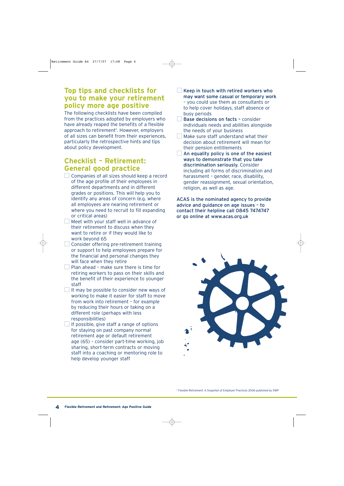## **Top tips and checklists for you to make your retirement policy more age positive**

The following checklists have been compiled from the practices adopted by employers who have already reaped the benefits of a flexible  $approach$  to retirement<sup>2</sup>. However, employers of all sizes can benefit from their experiences, particularly the retrospective hints and tips about policy development.

# **Checklist – Retirement: General good practice**

- Companies of all sizes should keep a record of the age profile of their employees in different departments and in different grades or positions. This will help you to identify any areas of concern (e.g. where all employees are nearing retirement or where you need to recruit to fill expanding or critical areas)
- Meet with your staff well in advance of their retirement to discuss when they want to retire or if they would like to work beyond 65
- $\Box$  Consider offering pre-retirement training or support to help employees prepare for the financial and personal changes they will face when they retire
- $\Box$  Plan ahead make sure there is time for retiring workers to pass on their skills and the benefit of their experience to younger staff
- It may be possible to consider new ways of working to make it easier for staff to move from work into retirement – for example by reducing their hours or taking on a different role (perhaps with less responsibilities)
- $\Box$  If possible, give staff a range of options for staying on past company normal retirement age or default retirement age (65) – consider part-time working, job sharing, short-term contracts or moving staff into a coaching or mentoring role to help develop younger staff
- Keep in touch with retired workers who may want some casual or temporary work – you could use them as consultants or to help cover holidays, staff absence or busy periods
- Base decisions on facts consider individuals needs and abilities alongside the needs of your business
- **Make sure staff understand what their** decision about retirement will mean for their pension entitlements
- $\Box$  An equality policy is one of the easiest ways to demonstrate that you take discrimination seriously. Consider including all forms of discrimination and harassment – gender, race, disability, gender reassignment, sexual orientation, religion, as well as age.

ACAS is the nominated agency to provide advice and guidance on age issues – to contact their helpline call 0845 7474747 or go online at www.acas.org.uk

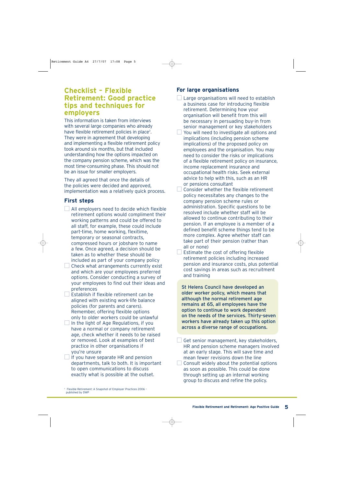## **Checklist – Flexible Retirement: Good practice tips and techniques for employers**

This information is taken from interviews with several large companies who already have flexible retirement policies in place<sup>3</sup>. They were in agreement that developing and implementing a flexible retirement policy took around six months, but that included understanding how the options impacted on the company pension scheme, which was the most time-consuming phase. This should not be an issue for smaller employers.

They all agreed that once the details of the policies were decided and approved, implementation was a relatively quick process.

## **First steps**

- $\Box$  All employers need to decide which flexible retirement options would compliment their working patterns and could be offered to all staff, for example, these could include part-time, home working, flexitime, temporary or seasonal contracts, compressed hours or jobshare to name a few. Once agreed, a decision should be taken as to whether these should be included as part of your company policy
- $\Box$  Check what arrangements currently exist and which are your employees preferred options. Consider conducting a survey of your employees to find out their ideas and preferences
- $\Box$  Establish if flexible retirement can be aligned with existing work-life balance policies (for parents and carers). Remember, offering flexible options only to older workers could be unlawful
- $\Box$  In the light of Age Regulations, if you have a normal or company retirement age, check whether it needs to be raised or removed. Look at examples of best practice in other organisations if you're unsure
- $\Box$  If you have separate HR and pension departments, talk to both. It is important to open communications to discuss exactly what is possible at the outset.
- <sup>3</sup> Flexible Retirement: A Snapshot of Employer Practices 2006 published by DWP

## **For large organisations**

- Large organisations will need to establish a business case for introducing flexible retirement. Determining how your organisation will benefit from this will be necessary in persuading buy-in from senior management or key stakeholders
- You will need to investigate all options and implications (including pension scheme implications) of the proposed policy on employees and the organisation. You may need to consider the risks or implications of a flexible retirement policy on insurance, income replacement insurance and occupational health risks. Seek external advice to help with this, such as an HR or pensions consultant
- Consider whether the flexible retirement policy necessitates any changes to the company pension scheme rules or administration. Specific questions to be resolved include whether staff will be allowed to continue contributing to their pension. If an employee is a member of a defined benefit scheme things tend to be more complex. Agree whether staff can take part of their pension (rather than all or none)
- Estimate the cost of offering flexible retirement policies including increased pension and insurance costs, plus potential cost savings in areas such as recruitment and training

St Helens Council have developed an older worker policy, which means that although the normal retirement age remains at 65, all employees have the option to continue to work dependent on the needs of the services. Thirty-seven workers have already taken up this option across a diverse range of occupations.

Get senior management, key stakeholders, HR and pension scheme managers involved at an early stage. This will save time and mean fewer revisions down the line Consult widely about the potential options as soon as possible. This could be done through setting up an internal working group to discuss and refine the policy.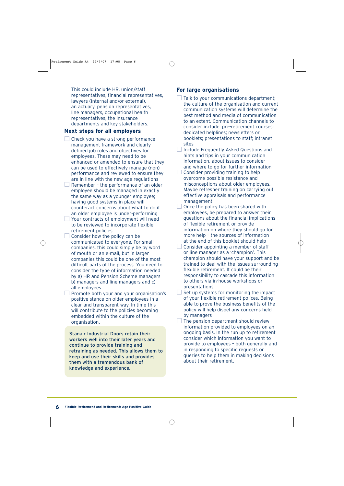## **Next steps for all employers**

- $\Box$  Check you have a strong performance management framework and clearly defined job roles and objectives for employees. These may need to be enhanced or amended to ensure that they can be used to effectively manage (non) performance and reviewed to ensure they are in line with the new age regulations
- $\Box$  Remember the performance of an older employee should be managed in exactly the same way as a younger employee; having good systems in place will counteract concerns about what to do if an older employee is under-performing
- Your contracts of employment will need to be reviewed to incorporate flexible retirement policies
- $\Box$  Consider how the policy can be communicated to everyone. For small companies, this could simply be by word of mouth or an e-mail, but in larger companies this could be one of the most difficult parts of the process. You need to consider the type of information needed by a) HR and Pension Scheme managers b) managers and line managers and c) all employees
- $\Box$  Promote both your and your organisation's positive stance on older employees in a clear and transparent way. In time this will contribute to the policies becoming embedded within the culture of the organisation.

Stanair Industrial Doors retain their workers well into their later years and continue to provide training and retraining as needed. This allows them to keep and use their skills and provides them with a tremendous bank of knowledge and experience.

## **For large organisations**

- Talk to your communications department; the culture of the organisation and current communication systems will determine the best method and media of communication to an extent. Communication channels to consider include: pre-retirement courses; dedicated helplines; newsletters or booklets; presentations to staff; intranet sites
- $\Box$  Include Frequently Asked Questions and hints and tips in your communication information, about issues to consider and where to go for further information
- Consider providing training to help overcome possible resistance and misconceptions about older employees. Maybe refresher training on carrying out effective appraisals and performance management
- Once the policy has been shared with employees, be prepared to answer their questions about the financial implications of flexible retirement or provide information on where they should go for more help – the sources of information at the end of this booklet should help
- Consider appointing a member of staff or line manager as a 'champion'. This champion should have your support and be trained to deal with the issues surrounding flexible retirement. It could be their responsibility to cascade this information to others via in-house workshops or presentations
- Set up systems for monitoring the impact of your flexible retirement polices. Being able to prove the business benefits of the policy will help dispel any concerns held by managers
- $\Box$  The pension department should review information provided to employees on an ongoing basis. In the run up to retirement consider which information you want to provide to employees – both generally and in responding to specific requests or queries to help them in making decisions about their retirement.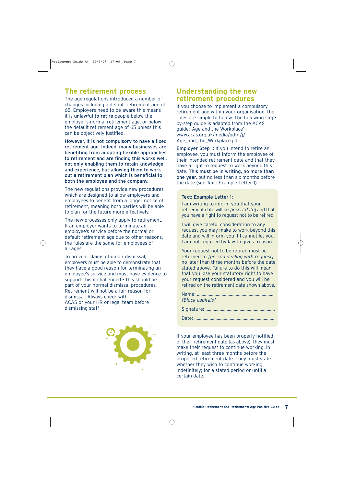# **The retirement process**

The age regulations introduced a number of changes including a default retirement age of 65. Employers need to be aware this means it is unlawful to retire people below the employer's normal retirement age, or below the default retirement age of 65 unless this can be objectively justified.

However, it is not compulsory to have a fixed retirement age. Indeed, many businesses are benefiting from adopting flexible approaches to retirement and are finding this works well, not only enabling them to retain knowledge and experience, but allowing them to work out a retirement plan which is beneficial to both the employee and the company.

The new regulations provide new procedures which are designed to allow employers and employees to benefit from a longer notice of retirement, meaning both parties will be able to plan for the future more effectively.

The new processes only apply to retirement. If an employer wants to terminate an employee's service before the normal or default retirement age due to other reasons, the rules are the same for employees of all ages.

To prevent claims of unfair dismissal, employers must be able to demonstrate that they have a good reason for terminating an employee's service and must have evidence to support this if challenged – this should be part of your normal dismissal procedures. Retirement will not be a fair reason for dismissal. Always check with ACAS or your HR or legal team before dismissing staff



# **Understanding the new retirement procedures**

If you choose to implement a compulsory retirement age within your organisation, the rules are simple to follow. The following stepby-step guide is adapted from the ACAS guide: 'Age and the Workplace' www.acas.org.uk/media/pdf/r/j/ Age\_and\_the\_Workplace.pdf

Employer Step 1: If you intend to retire an employee, you must inform the employee of their intended retirement date and that they have a right to request to work beyond this date. This must be in writing, no more than one year, but no less than six months before the date (see Text: Example Letter 1).

#### Text: Example Letter 1:

I am writing to inform you that your retirement date will be *linsert date]* and that you have a right to request not to be retired.

I will give careful consideration to any request you may make to work beyond this date and will inform you if I cannot let you. I am not required by law to give a reason.

Your request not to be retired must be returned to *[person dealing with request]* no later than three months before the date stated above. Failure to do this will mean that you lose your statutory right to have your request considered and you will be retired on the retirement date shown above.

| [Block capitals] |
|------------------|
|                  |

Date: ...........................................................………

If your employee has been properly notified of their retirement date (as above), they must make their request to continue working, in writing, at least three months before the proposed retirement date. They must state whether they wish to continue working indefinitely; for a stated period or until a certain date.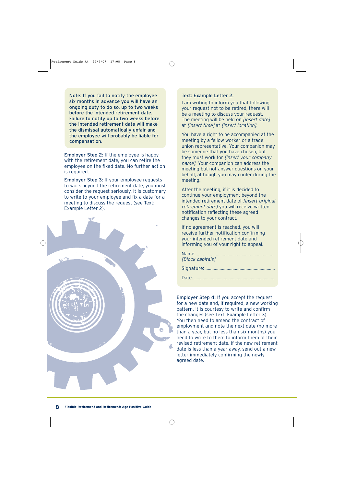Note: If you fail to notify the employee six months in advance you will have an ongoing duty to do so, up to two weeks before the intended retirement date. Failure to notify up to two weeks before the intended retirement date will make the dismissal automatically unfair and the employee will probably be liable for compensation.

Employer Step 2: If the employee is happy with the retirement date, you can retire the employee on the fixed date. No further action is required.

Employer Step 3: If your employee requests to work beyond the retirement date, you must consider the request seriously. It is customary to write to your employee and fix a date for a meeting to discuss the request (see Text: Example Letter 2).



#### Text: Example Letter 2:

I am writing to inform you that following your request not to be retired, there will be a meeting to discuss your request. The meeting will be held on *[insert date]* at *[insert time]* at *[insert location]*.

You have a right to be accompanied at the meeting by a fellow worker or a trade union representative. Your companion may be someone that you have chosen, but they must work for [insert your company name]. Your companion can address the meeting but not answer questions on your behalf, although you may confer during the meeting.

After the meeting, if it is decided to continue your employment beyond the intended retirement date of [insert original retirement date] you will receive written notification reflecting these agreed changes to your contract.

If no agreement is reached, you will receive further notification confirming your intended retirement date and informing you of your right to appeal.

| [Block capitals] |
|------------------|
|                  |

Date: ...........................................................………

Employer Step 4: If you accept the request for a new date and, if required, a new working pattern, it is courtesy to write and confirm the changes (see Text: Example Letter 3). You then need to amend the contract of employment and note the next date (no more than a year, but no less than six months) you need to write to them to inform them of their revised retirement date. If the new retirement date is less than a year away, send out a new letter immediately confirming the newly agreed date.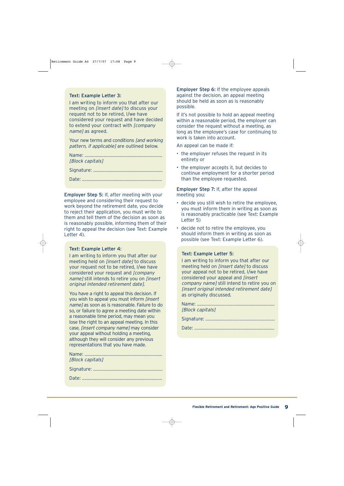#### Text: Example Letter 3:

I am writing to inform you that after our meeting on [insert date] to discuss your request not to be retired, I/we have considered your request and have decided to extend your contract with [company name] as agreed.

Your new terms and conditions *[and working*] pattern, if applicable] are outlined below.

| [Block capitals] |
|------------------|
|                  |

Date: ...........................................................………

Employer Step 5: If, after meeting with your employee and considering their request to work beyond the retirement date, you decide to reject their application, you must write to them and tell them of the decision as soon as is reasonably possible, informing them of their right to appeal the decision (see Text: Example Letter 4).

#### Text: Example Letter 4:

I am writing to inform you that after our meeting held on *[insert date]* to discuss your request not to be retired, I/we have considered your request and [company name] still intends to retire you on *linsert* original intended retirement date].

You have a right to appeal this decision. If you wish to appeal you must inform [insert name] as soon as is reasonable. Failure to do so, or failure to agree a meeting date within a reasonable time period, may mean you lose the right to an appeal meeting. In this case, [insert company name] may consider your appeal without holding a meeting, although they will consider any previous representations that you have made.

| [Block capitals] |
|------------------|

Employer Step 6: If the employee appeals against the decision, an appeal meeting should be held as soon as is reasonably possible.

If it's not possible to hold an appeal meeting within a reasonable period, the employer can consider the request without a meeting, as long as the employee's case for continuing to work is taken into account.

An appeal can be made if:

- the employer refuses the request in its entirety or
- the employer accepts it, but decides to continue employment for a shorter period than the employee requested.

Employer Step 7: If, after the appeal meeting you:

- decide you still wish to retire the employee, you must inform them in writing as soon as is reasonably practicable (see Text: Example Letter 5)
- decide not to retire the employee, you should inform them in writing as soon as possible (see Text: Example Letter 6).

#### Text: Example Letter 5:

I am writing to inform you that after our meeting held on *[insert date]* to discuss your appeal not to be retired, I/we have considered your appeal and [insert company name] still intend to retire you on [insert original intended retirement date] as originally discussed.

| [Block capitals] |
|------------------|
|                  |
|                  |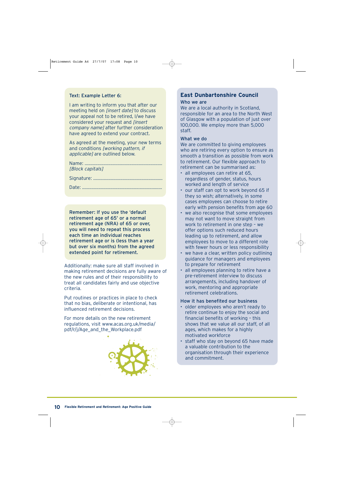#### Text: Example Letter 6:

I am writing to inform you that after our meeting held on *linsert datel* to discuss your appeal not to be retired, I/we have considered your request and [insert company name after further consideration have agreed to extend your contract.

As agreed at the meeting, your new terms and conditions [working pattern, if applicable] are outlined below.

| [Block capitals] |
|------------------|
|                  |

|--|--|

Date: ...........................................................………

Remember: If you use the 'default retirement age of 65' or a normal retirement age (NRA) of 65 or over, you will need to repeat this process each time an individual reaches retirement age or is (less than a year but over six months) from the agreed extended point for retirement.

Additionally: make sure all staff involved in making retirement decisions are fully aware of the new rules and of their responsibility to treat all candidates fairly and use objective criteria.

Put routines or practices in place to check that no bias, deliberate or intentional, has influenced retirement decisions.

For more details on the new retirement regulations, visit www.acas.org.uk/media/ pdf/r/j/Age\_and\_the\_Workplace.pdf



## **East Dunbartonshire Council**

#### Who we are

We are a local authority in Scotland, responsible for an area to the North West of Glasgow with a population of just over 100,000. We employ more than 5,000 staff.

#### What we do

We are committed to giving employees who are retiring every option to ensure as smooth a transition as possible from work to retirement. Our flexible approach to retirement can be summarised as:

- all employees can retire at 65, regardless of gender, status, hours worked and length of service
- our staff can opt to work beyond 65 if they so wish; alternatively, in some cases employees can choose to retire early with pension benefits from age 60
- we also recognise that some employees may not want to move straight from work to retirement in one step – we offer options such reduced hours leading up to retirement, and allow employees to move to a different role with fewer hours or less responsibility
- we have a clear, written policy outlining guidance for managers and employees to prepare for retirement
- all employees planning to retire have a pre-retirement interview to discuss arrangements, including handover of work, mentoring and appropriate retirement celebrations.

#### How it has benefited our business

- older employees who aren't ready to retire continue to enjoy the social and financial benefits of working – this shows that we value all our staff, of all ages, which makes for a highly motivated workforce
- staff who stay on beyond 65 have made a valuable contribution to the organisation through their experience and commitment.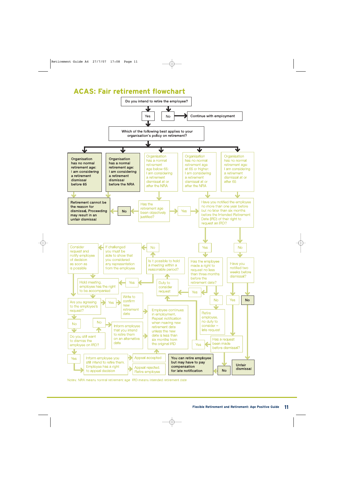# **ACAS: Fair retirement flowchart**



Notes: NRA means normal retirement age IRD means intended retirement date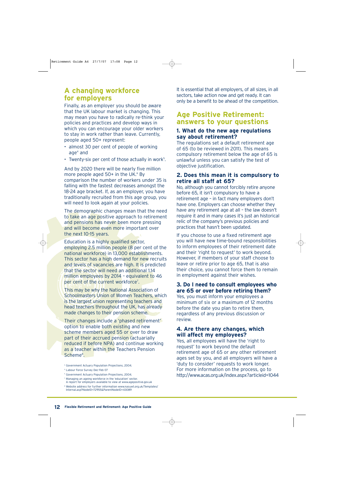# **A changing workforce for employers**

Finally, as an employer you should be aware that the UK labour market is changing. This may mean you have to radically re-think your policies and practices and develop ways in which you can encourage your older workers to stay in work rather than leave. Currently, people aged 50+ represent:

- almost 30 per cent of people of working age $4$  and
- Twenty-six per cent of those actually in work $5$ .

And by 2020 there will be nearly five million more people aged  $50+$  in the UK. $6$  By comparison the number of workers under 35 is falling with the fastest decreases amongst the 18-24 age bracket. If, as an employer, you have traditionally recruited from this age group, you will need to look again at your policies.

The demographic changes mean that the need to take an age positive approach to retirement and pensions has never been more pressing and will become even more important over the next 10-15 years.

Education is a highly qualified sector, employing 2.5 million people (8 per cent of the national workforce) in 13,000 establishments. This sector has a high demand for new recruits and levels of vacancies are high. It is predicted that the sector will need an additional 1.14 million employees by 2014 – equivalent to 46 per cent of the current workforce<sup>7</sup>.

This may be why the National Association of Schoolmasters Union of Women Teachers, which is the largest union representing teachers and head teachers throughout the UK, has already made changes to their pension scheme.

Their changes include a 'phased retirement' option to enable both existing and new scheme members aged 55 or over to draw part of their accrued pension (actuarially reduced if before NPA) and continue working as a teacher within the Teachers Pension Scheme<sup>8</sup>.

- <sup>6</sup> Government Actuary Population Projections, 2004.
- <sup>7</sup> Managing an ageing workforce in the 'education' sector. A report for employers available to view at www.agepositive.gov.uk

<sup>8</sup> Website address for further information www.nasuwt.org.uk/Templates/ Internal.asp?NodeID=72955&ParentNodeID=43089

It is essential that all employers, of all sizes, in all sectors, take action now and get ready. It can only be a benefit to be ahead of the competition.

# **Age Positive Retirement: answers to your questions**

### **1. What do the new age regulations say about retirement?**

The regulations set a default retirement age of 65 (to be reviewed in 2011). This means compulsory retirement below the age of 65 is unlawful unless you can satisfy the test of objective justification.

### **2. Does this mean it is compulsory to retire all staff at 65?**

No, although you cannot forcibly retire anyone before 65, it isn't compulsory to have a retirement age – in fact many employers don't have one. Employers can choose whether they have any retirement age at all – the law doesn't require it and in many cases it's just an historical relic of the company's previous policies and practices that hasn't been updated.

If you choose to use a fixed retirement age you will have new time-bound responsibilities to inform employees of their retirement date and their 'right to request' to work beyond. However, if members of your staff choose to leave or retire prior to age 65, that is also their choice, you cannot force them to remain in employment against their wishes.

## **3. Do I need to consult employees who are 65 or over before retiring them?**

Yes, you must inform your employees a minimum of six or a maximum of 12 months before the date you plan to retire them, regardless of any previous discussion or review.

### **4. Are there any changes, which will affect my employees?**

Yes, all employees will have the 'right to request' to work beyond the default retirement age of 65 or any other retirement ages set by you, and all employers will have a 'duty to consider' requests to work longer. For more information on the process, go to http://www.acas.org.uk/index.aspx?articleid=1044

<sup>4</sup> Government Actuary Population Projections, 2004.

<sup>5</sup> Labour Force Survey Dec-Feb 07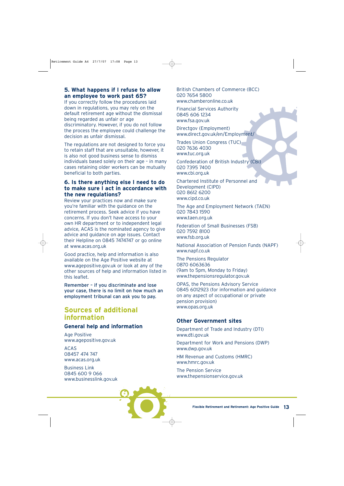## **5. What happens if I refuse to allow an employee to work past 65?**

If you correctly follow the procedures laid down in regulations, you may rely on the default retirement age without the dismissal being regarded as unfair or age discriminatory. However, if you do not follow the process the employee could challenge the decision as unfair dismissal.

The regulations are not designed to force you to retain staff that are unsuitable, however, it is also not good business sense to dismiss individuals based solely on their age – in many cases retaining older workers can be mutually beneficial to both parties.

### **6. Is there anything else I need to do to make sure I act in accordance with the new regulations?**

Review your practices now and make sure you're familiar with the guidance on the retirement process. Seek advice if you have concerns. If you don't have access to your own HR department or to independent legal advice, ACAS is the nominated agency to give advice and guidance on age issues. Contact their Helpline on 0845 7474747 or go online at www.acas.org.uk

Good practice, help and information is also available on the Age Positive website at www.agepositive.gov.uk or look at any of the other sources of help and information listed in this leaflet.

Remember – if you discriminate and lose your case, there is no limit on how much an employment tribunal can ask you to pay.

# **Sources of additional information**

## **General help and information**

Age Positive www.agepositive.gov.uk

ACAS 08457 474 747 www.acas.org.uk

Business Link 0845 600 9 066 www.businesslink.gov.uk British Chambers of Commerce (BCC) 020 7654 5800 www.chamberonline.co.uk

Financial Services Authority 0845 606 1234 www.fsa.gov.uk

Directgov (Employment) www.direct.gov.uk/en/Employment/

Trades Union Congress (TUC) 020 7636 4030 www.tuc.org.uk

Confederation of British Industry (CBI) 020 7395 7400 www.cbi.org.uk

Chartered Institute of Personnel and Development (CIPD) 020 8612 6200 www.cipd.co.uk

The Age and Employment Network (TAEN) 020 7843 1590 www.taen.org.uk

Federation of Small Businesses (FSB) 020 7592 8100 www.fsb.org.uk

National Association of Pension Funds (NAPF) www.napf.co.uk

The Pensions Regulator 0870 6063636 (9am to 5pm, Monday to Friday) www.thepensionsregulator.gov.uk

OPAS, the Pensions Advisory Service 0845 6012923 (for information and guidance on any aspect of occupational or private pension provision) www.opas.org.uk

## **Other Government sites**

Department of Trade and Industry (DTI) www.dti.gov.uk

Department for Work and Pensions (DWP) www.dwp.gov.uk

HM Revenue and Customs (HMRC) www.hmrc.gov.uk

The Pension Service www.thepensionservice.gov.uk